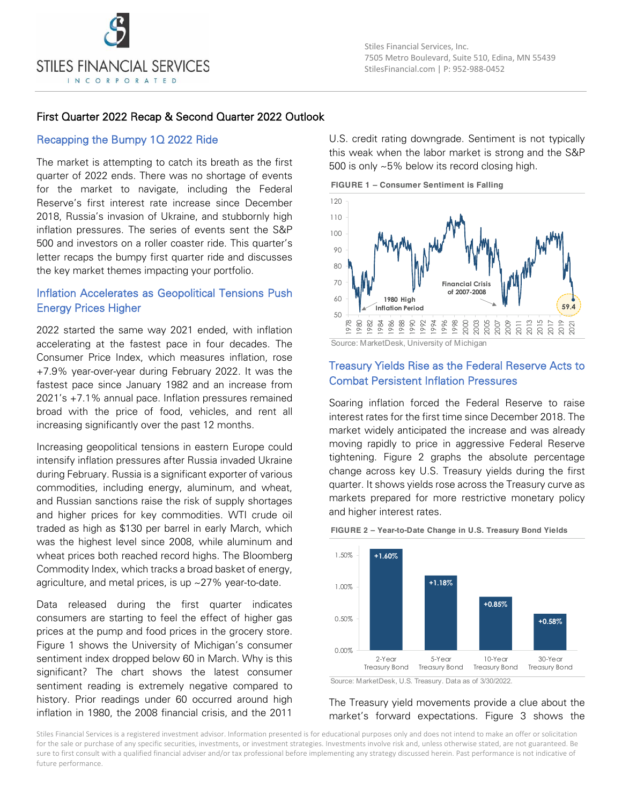

### First Quarter 2022 Recap & Second Quarter 2022 Outlook

#### Recapping the Bumpy 1Q 2022 Ride

The market is attempting to catch its breath as the first quarter of 2022 ends. There was no shortage of events for the market to navigate, including the Federal Reserve's first interest rate increase since December 2018, Russia's invasion of Ukraine, and stubbornly high inflation pressures. The series of events sent the S&P 500 and investors on a roller coaster ride. This quarter's letter recaps the bumpy first quarter ride and discusses the key market themes impacting your portfolio.

## Inflation Accelerates as Geopolitical Tensions Push Energy Prices Higher

2022 started the same way 2021 ended, with inflation accelerating at the fastest pace in four decades. The Consumer Price Index, which measures inflation, rose +7.9% year-over-year during February 2022. It was the fastest pace since January 1982 and an increase from 2021's +7.1% annual pace. Inflation pressures remained broad with the price of food, vehicles, and rent all increasing significantly over the past 12 months.

Increasing geopolitical tensions in eastern Europe could intensify inflation pressures after Russia invaded Ukraine during February. Russia is a significant exporter of various commodities, including energy, aluminum, and wheat, and Russian sanctions raise the risk of supply shortages and higher prices for key commodities. WTI crude oil traded as high as \$130 per barrel in early March, which was the highest level since 2008, while aluminum and wheat prices both reached record highs. The Bloomberg Commodity Index, which tracks a broad basket of energy, agriculture, and metal prices, is up ~27% year-to-date.

Data released during the first quarter indicates consumers are starting to feel the effect of higher gas prices at the pump and food prices in the grocery store. Figure 1 shows the University of Michigan's consumer sentiment index dropped below 60 in March. Why is this significant? The chart shows the latest consumer sentiment reading is extremely negative compared to history. Prior readings under 60 occurred around high inflation in 1980, the 2008 financial crisis, and the 2011

U.S. credit rating downgrade. Sentiment is not typically this weak when the labor market is strong and the S&P 500 is only ~5% below its record closing high.

**FIGURE 1 – Consumer Sentiment is Falling**



Source: MarketDesk, University of Michigan

### Treasury Yields Rise as the Federal Reserve Acts to Combat Persistent Inflation Pressures

Soaring inflation forced the Federal Reserve to raise interest rates for the first time since December 2018. The market widely anticipated the increase and was already moving rapidly to price in aggressive Federal Reserve tightening. Figure 2 graphs the absolute percentage change across key U.S. Treasury yields during the first quarter. It shows yields rose across the Treasury curve as markets prepared for more restrictive monetary policy and higher interest rates.



**FIGURE 2 – Year-to-Date Change in U.S. Treasury Bond Yields**

Source: MarketDesk, U.S. Treasury. Data as of 3/30/2022.

#### The Treasury yield movements provide a clue about the market's forward expectations. Figure 3 shows the

Stiles Financial Services is a registered investment advisor. Information presented is for educational purposes only and does not intend to make an offer or solicitation for the sale or purchase of any specific securities, investments, or investment strategies. Investments involve risk and, unless otherwise stated, are not guaranteed. Be sure to first consult with a qualified financial adviser and/or tax professional before implementing any strategy discussed herein. Past performance is not indicative of future performance.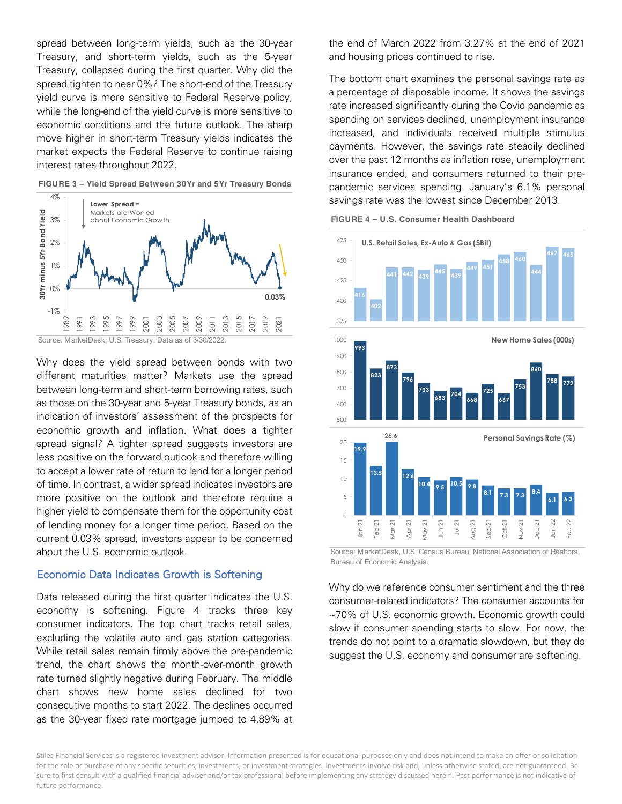spread between long-term yields, such as the 30-year Treasury, and short-term yields, such as the 5-year Treasury, collapsed during the first quarter. Why did the spread tighten to near 0%? The short-end of the Treasury yield curve is more sensitive to Federal Reserve policy, while the long-end of the yield curve is more sensitive to economic conditions and the future outlook. The sharp move higher in short-term Treasury yields indicates the market expects the Federal Reserve to continue raising interest rates throughout 2022.



**FIGURE 3 – Yield Spread Between 30Yr and 5Yr Treasury Bonds**

Source: MarketDesk, U.S. Treasury. Data as of 3/30/2022.

Why does the yield spread between bonds with two different maturities matter? Markets use the spread between long-term and short-term borrowing rates, such as those on the 30-year and 5-year Treasury bonds, as an indication of investors' assessment of the prospects for economic growth and inflation. What does a tighter spread signal? A tighter spread suggests investors are less positive on the forward outlook and therefore willing to accept a lower rate of return to lend for a longer period of time. In contrast, a wider spread indicates investors are more positive on the outlook and therefore require a higher yield to compensate them for the opportunity cost of lending money for a longer time period. Based on the current 0.03% spread, investors appear to be concerned about the U.S. economic outlook.

#### Economic Data Indicates Growth is Softening

Data released during the first quarter indicates the U.S. economy is softening. Figure 4 tracks three key consumer indicators. The top chart tracks retail sales, excluding the volatile auto and gas station categories. While retail sales remain firmly above the pre-pandemic trend, the chart shows the month-over-month growth rate turned slightly negative during February. The middle chart shows new home sales declined for two consecutive months to start 2022. The declines occurred as the 30-year fixed rate mortgage jumped to 4.89% at

the end of March 2022 from 3.27% at the end of 2021 and housing prices continued to rise.

The bottom chart examines the personal savings rate as a percentage of disposable income. It shows the savings rate increased significantly during the Covid pandemic as spending on services declined, unemployment insurance increased, and individuals received multiple stimulus payments. However, the savings rate steadily declined over the past 12 months as inflation rose, unemployment insurance ended, and consumers returned to their prepandemic services spending. January's 6.1% personal savings rate was the lowest since December 2013.





Source: MarketDesk, U.S. Census Bureau, National Association of Realtors, Bureau of Economic Analysis.

Why do we reference consumer sentiment and the three consumer-related indicators? The consumer accounts for ~70% of U.S. economic growth. Economic growth could slow if consumer spending starts to slow. For now, the trends do not point to a dramatic slowdown, but they do suggest the U.S. economy and consumer are softening.

Stiles Financial Services is a registered investment advisor. Information presented is for educational purposes only and does not intend to make an offer or solicitation for the sale or purchase of any specific securities, investments, or investment strategies. Investments involve risk and, unless otherwise stated, are not guaranteed. Be sure to first consult with a qualified financial adviser and/or tax professional before implementing any strategy discussed herein. Past performance is not indicative of future performance.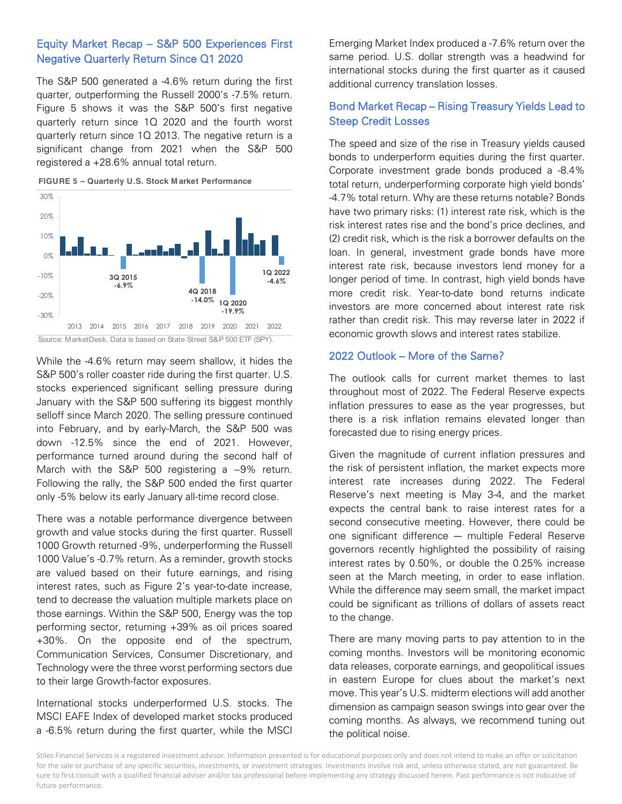# Equity Market Recap – S&P 500 Experiences First Negative Quarterly Return Since Q1 2020

The S&P 500 generated a -4.6% return during the first quarter, outperforming the Russell 2000's -7.5% return. Figure 5 shows it was the S&P 500's first negative quarterly return since 1Q 2020 and the fourth worst quarterly return since 1Q 2013. The negative return is a significant change from 2021 when the S&P 500 registered a +28.6% annual total return.





Source: MarketDesk. Data is based on State Street S&P 500 ETF (SPY).

While the -4.6% return may seem shallow, it hides the S&P 500's roller coaster ride during the first quarter. U.S. stocks experienced significant selling pressure during January with the S&P 500 suffering its biggest monthly selloff since March 2020. The selling pressure continued into February, and by early-March, the S&P 500 was down -12.5% since the end of 2021. However, performance turned around during the second half of March with the S&P 500 registering a ~9% return. Following the rally, the S&P 500 ended the first quarter only -5% below its early January all-time record close.

There was a notable performance divergence between growth and value stocks during the first quarter. Russell 1000 Growth returned -9%, underperforming the Russell 1000 Value's -0.7% return. As a reminder, growth stocks are valued based on their future earnings, and rising interest rates, such as Figure 2's year-to-date increase, tend to decrease the valuation multiple markets place on those earnings. Within the S&P 500, Energy was the top performing sector, returning +39% as oil prices soared +30%. On the opposite end of the spectrum, Communication Services, Consumer Discretionary, and Technology were the three worst performing sectors due to their large Growth-factor exposures.

International stocks underperformed U.S. stocks. The MSCI EAFE Index of developed market stocks produced a -6.5% return during the first quarter, while the MSCI

Emerging Market Index produced a -7.6% return over the same period. U.S. dollar strength was a headwind for international stocks during the first quarter as it caused additional currency translation losses.

# Bond Market Recap – Rising Treasury Yields Lead to Steep Credit Losses

The speed and size of the rise in Treasury yields caused bonds to underperform equities during the first quarter. Corporate investment grade bonds produced a -8.4% total return, underperforming corporate high yield bonds' -4.7% total return. Why are these returns notable? Bonds have two primary risks: (1) interest rate risk, which is the risk interest rates rise and the bond's price declines, and (2) credit risk, which is the risk a borrower defaults on the loan. In general, investment grade bonds have more interest rate risk, because investors lend money for a longer period of time. In contrast, high yield bonds have more credit risk. Year-to-date bond returns indicate investors are more concerned about interest rate risk rather than credit risk. This may reverse later in 2022 if economic growth slows and interest rates stabilize.

#### 2022 Outlook – More of the Same?

The outlook calls for current market themes to last throughout most of 2022. The Federal Reserve expects inflation pressures to ease as the year progresses, but there is a risk inflation remains elevated longer than forecasted due to rising energy prices.

Given the magnitude of current inflation pressures and the risk of persistent inflation, the market expects more interest rate increases during 2022. The Federal Reserve's next meeting is May 3-4, and the market expects the central bank to raise interest rates for a second consecutive meeting. However, there could be one significant difference ― multiple Federal Reserve governors recently highlighted the possibility of raising interest rates by 0.50%, or double the 0.25% increase seen at the March meeting, in order to ease inflation. While the difference may seem small, the market impact could be significant as trillions of dollars of assets react to the change.

There are many moving parts to pay attention to in the coming months. Investors will be monitoring economic data releases, corporate earnings, and geopolitical issues in eastern Europe for clues about the market's next move. This year's U.S. midterm elections will add another dimension as campaign season swings into gear over the coming months. As always, we recommend tuning out the political noise.

Stiles Financial Services is a registered investment advisor. Information presented is for educational purposes only and does not intend to make an offer or solicitation for the sale or purchase of any specific securities, investments, or investment strategies. Investments involve risk and, unless otherwise stated, are not guaranteed. Be sure to first consult with a qualified financial adviser and/or tax professional before implementing any strategy discussed herein. Past performance is not indicative of future performance.